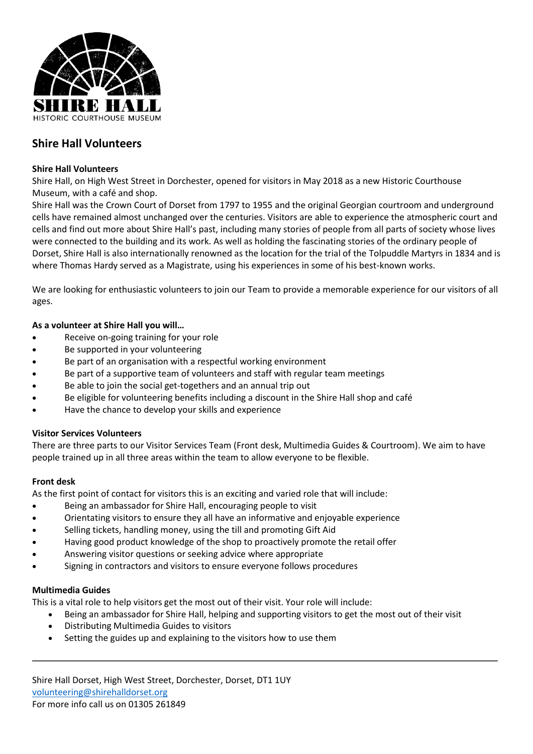

# **Shire Hall Volunteers**

## **Shire Hall Volunteers**

Shire Hall, on High West Street in Dorchester, opened for visitors in May 2018 as a new Historic Courthouse Museum, with a café and shop.

Shire Hall was the Crown Court of Dorset from 1797 to 1955 and the original Georgian courtroom and underground cells have remained almost unchanged over the centuries. Visitors are able to experience the atmospheric court and cells and find out more about Shire Hall's past, including many stories of people from all parts of society whose lives were connected to the building and its work. As well as holding the fascinating stories of the ordinary people of Dorset, Shire Hall is also internationally renowned as the location for the trial of the Tolpuddle Martyrs in 1834 and is where Thomas Hardy served as a Magistrate, using his experiences in some of his best-known works.

We are looking for enthusiastic volunteers to join our Team to provide a memorable experience for our visitors of all ages.

# **As a volunteer at Shire Hall you will…**

- Receive on-going training for your role
- Be supported in your volunteering
- Be part of an organisation with a respectful working environment
- Be part of a supportive team of volunteers and staff with regular team meetings
- Be able to join the social get-togethers and an annual trip out
- Be eligible for volunteering benefits including a discount in the Shire Hall shop and café
- Have the chance to develop your skills and experience

#### **Visitor Services Volunteers**

There are three parts to our Visitor Services Team (Front desk, Multimedia Guides & Courtroom). We aim to have people trained up in all three areas within the team to allow everyone to be flexible.

# **Front desk**

As the first point of contact for visitors this is an exciting and varied role that will include:

- Being an ambassador for Shire Hall, encouraging people to visit
- Orientating visitors to ensure they all have an informative and enjoyable experience
- Selling tickets, handling money, using the till and promoting Gift Aid
- Having good product knowledge of the shop to proactively promote the retail offer
- Answering visitor questions or seeking advice where appropriate
- Signing in contractors and visitors to ensure everyone follows procedures

#### **Multimedia Guides**

This is a vital role to help visitors get the most out of their visit. Your role will include:

• Being an ambassador for Shire Hall, helping and supporting visitors to get the most out of their visit

\_\_\_\_\_\_\_\_\_\_\_\_\_\_\_\_\_\_\_\_\_\_\_\_\_\_\_\_\_\_\_\_\_\_\_\_\_\_\_\_\_\_\_\_\_\_\_\_\_\_\_\_\_\_\_\_\_\_\_\_\_\_\_\_\_\_\_\_\_\_\_\_\_\_\_\_\_\_\_\_\_\_\_\_\_\_\_\_\_\_\_\_\_\_\_

- Distributing Multimedia Guides to visitors
- Setting the guides up and explaining to the visitors how to use them

Shire Hall Dorset, High West Street, Dorchester, Dorset, DT1 1UY [volunteering@shirehalldorset.org](mailto:volunteering@shirehalldorset.org) For more info call us on 01305 261849